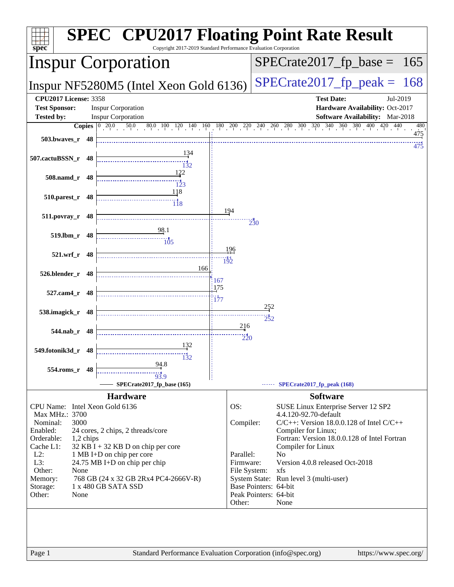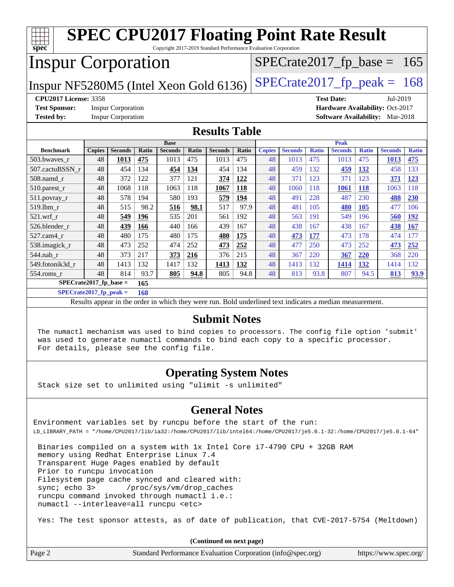| <b>SPEC CPU2017 Floating Point Rate Result</b>                                                           |               |                           |       |                |       |                |       |               |                               |              |                |              |                                        |              |
|----------------------------------------------------------------------------------------------------------|---------------|---------------------------|-------|----------------|-------|----------------|-------|---------------|-------------------------------|--------------|----------------|--------------|----------------------------------------|--------------|
| spec<br>Copyright 2017-2019 Standard Performance Evaluation Corporation<br><b>Inspur Corporation</b>     |               |                           |       |                |       |                |       |               | $SPECrate2017_fp\_base = 165$ |              |                |              |                                        |              |
| $SPECrate2017_fp\_peak = 168$<br>Inspur NF5280M5 (Intel Xeon Gold 6136)                                  |               |                           |       |                |       |                |       |               |                               |              |                |              |                                        |              |
| <b>CPU2017 License: 3358</b><br><b>Test Date:</b><br>Jul-2019                                            |               |                           |       |                |       |                |       |               |                               |              |                |              |                                        |              |
| Hardware Availability: Oct-2017<br><b>Test Sponsor:</b><br><b>Inspur Corporation</b>                     |               |                           |       |                |       |                |       |               |                               |              |                |              |                                        |              |
| <b>Tested by:</b>                                                                                        |               | <b>Inspur Corporation</b> |       |                |       |                |       |               |                               |              |                |              | <b>Software Availability:</b> Mar-2018 |              |
| <b>Results Table</b>                                                                                     |               |                           |       |                |       |                |       |               |                               |              |                |              |                                        |              |
|                                                                                                          |               |                           |       | <b>Base</b>    |       |                |       |               |                               |              | <b>Peak</b>    |              |                                        |              |
| <b>Benchmark</b>                                                                                         | <b>Copies</b> | <b>Seconds</b>            | Ratio | <b>Seconds</b> | Ratio | <b>Seconds</b> | Ratio | <b>Copies</b> | <b>Seconds</b>                | <b>Ratio</b> | <b>Seconds</b> | <b>Ratio</b> | <b>Seconds</b>                         | <b>Ratio</b> |
| 503.bwaves r                                                                                             | 48            | 1013                      | 475   | 1013           | 475   | 1013           | 475   | 48            | 1013                          | 475          | 1013           | 475          | 1013                                   | 475          |
| 507.cactuBSSN r                                                                                          | 48            | 454                       | 134   | 454            | 134   | 454            | 134   | 48            | 459                           | 132          | 459            | 132          | 458                                    | 133          |
| $508$ .namd $r$                                                                                          | 48            | 372                       | 122   | 377            | 121   | 374            | 122   | 48            | 371                           | 123          | 371            | 123          | 371                                    | 123          |
| 510.parest_r                                                                                             | 48            | 1068                      | 118   | 1063           | 118   | 1067           | 118   | 48            | 1060                          | 118          | 1061           | <b>118</b>   | 1063                                   | 118          |
| 511.povray_r                                                                                             | 48            | 578                       | 194   | 580            | 193   | 579            | 194   | 48            | 491                           | 228          | 487            | 230          | 488                                    | 230          |
| 519.lbm r                                                                                                | 48            | 515                       | 98.2  | 516            | 98.1  | 517            | 97.9  | 48            | 481                           | 105          | 480            | <b>105</b>   | 477                                    | 106          |
| $521$ .wrf r                                                                                             | 48            | 549                       | 196   | 535            | 201   | 561            | 192   | 48            | 563                           | 191          | 549            | 196          | 560                                    | <b>192</b>   |
| 526.blender r                                                                                            | 48            | 439                       | 166   | 440            | 166   | 439            | 167   | 48            | 438                           | 167          | 438            | 167          | 438                                    | 167          |
| 527.cam4 r                                                                                               | 48            | 480                       | 175   | 480            | 175   | 480            | 175   | 48            | 473                           | 177          | 473            | 178          | 474                                    | 177          |
| 538.imagick_r                                                                                            | 48            | 473                       | 252   | 474            | 252   | 473            | 252   | 48            | 477                           | 250          | 473            | 252          | 473                                    | 252          |
| 544.nab r                                                                                                | 48            | 373                       | 217   | 373            | 216   | 376            | 215   | 48            | 367                           | 220          | 367            | 220          | 368                                    | 220          |
| 549.fotonik3d r                                                                                          | 48            | 1413                      | 132   | 1417           | 132   | 1413           | 132   | 48            | 1413                          | 132          | 1414           | 132          | 1414                                   | 132          |
| 48<br>554.roms_r<br>814<br>93.7<br>805<br>94.8<br>94.8<br>48<br>813<br>93.8<br>807<br>94.5<br>805<br>813 |               |                           |       |                |       |                |       | 93.9          |                               |              |                |              |                                        |              |
| $SPECrate2017_fp\_base =$<br>165                                                                         |               |                           |       |                |       |                |       |               |                               |              |                |              |                                        |              |

**[SPECrate2017\\_fp\\_peak =](http://www.spec.org/auto/cpu2017/Docs/result-fields.html#SPECrate2017fppeak) 168**

Results appear in the [order in which they were run.](http://www.spec.org/auto/cpu2017/Docs/result-fields.html#RunOrder) Bold underlined text [indicates a median measurement.](http://www.spec.org/auto/cpu2017/Docs/result-fields.html#Median)

#### **[Submit Notes](http://www.spec.org/auto/cpu2017/Docs/result-fields.html#SubmitNotes)**

 The numactl mechanism was used to bind copies to processors. The config file option 'submit' was used to generate numactl commands to bind each copy to a specific processor. For details, please see the config file.

## **[Operating System Notes](http://www.spec.org/auto/cpu2017/Docs/result-fields.html#OperatingSystemNotes)**

Stack size set to unlimited using "ulimit -s unlimited"

### **[General Notes](http://www.spec.org/auto/cpu2017/Docs/result-fields.html#GeneralNotes)**

Environment variables set by runcpu before the start of the run: LD\_LIBRARY\_PATH = "/home/CPU2017/lib/ia32:/home/CPU2017/lib/intel64:/home/CPU2017/je5.0.1-32:/home/CPU2017/je5.0.1-64"

 Binaries compiled on a system with 1x Intel Core i7-4790 CPU + 32GB RAM memory using Redhat Enterprise Linux 7.4 Transparent Huge Pages enabled by default Prior to runcpu invocation Filesystem page cache synced and cleared with: sync; echo 3> /proc/sys/vm/drop\_caches runcpu command invoked through numactl i.e.: numactl --interleave=all runcpu <etc>

Yes: The test sponsor attests, as of date of publication, that CVE-2017-5754 (Meltdown)

**(Continued on next page)**

| Page 2<br>Standard Performance Evaluation Corporation (info@spec.org) | https://www.spec.org/ |
|-----------------------------------------------------------------------|-----------------------|
|-----------------------------------------------------------------------|-----------------------|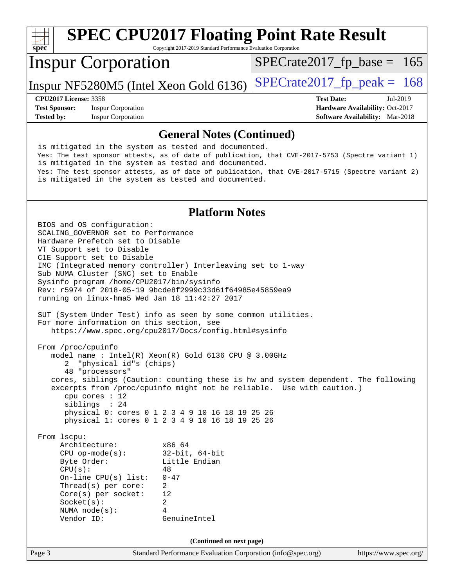#### **[spec](http://www.spec.org/) [SPEC CPU2017 Floating Point Rate Result](http://www.spec.org/auto/cpu2017/Docs/result-fields.html#SPECCPU2017FloatingPointRateResult)** Copyright 2017-2019 Standard Performance Evaluation Corporation Inspur Corporation Inspur NF5280M5 (Intel Xeon Gold 6136)  $SPECrate2017_f$  peak = 168  $SPECTate2017_fp\_base = 165$ **[CPU2017 License:](http://www.spec.org/auto/cpu2017/Docs/result-fields.html#CPU2017License)** 3358 **[Test Date:](http://www.spec.org/auto/cpu2017/Docs/result-fields.html#TestDate)** Jul-2019

**[Test Sponsor:](http://www.spec.org/auto/cpu2017/Docs/result-fields.html#TestSponsor)** Inspur Corporation **[Hardware Availability:](http://www.spec.org/auto/cpu2017/Docs/result-fields.html#HardwareAvailability)** Oct-2017 **[Tested by:](http://www.spec.org/auto/cpu2017/Docs/result-fields.html#Testedby)** Inspur Corporation **[Software Availability:](http://www.spec.org/auto/cpu2017/Docs/result-fields.html#SoftwareAvailability)** Mar-2018

### **[General Notes \(Continued\)](http://www.spec.org/auto/cpu2017/Docs/result-fields.html#GeneralNotes)**

 is mitigated in the system as tested and documented. Yes: The test sponsor attests, as of date of publication, that CVE-2017-5753 (Spectre variant 1) is mitigated in the system as tested and documented. Yes: The test sponsor attests, as of date of publication, that CVE-2017-5715 (Spectre variant 2) is mitigated in the system as tested and documented.

### **[Platform Notes](http://www.spec.org/auto/cpu2017/Docs/result-fields.html#PlatformNotes)**

Page 3 Standard Performance Evaluation Corporation [\(info@spec.org\)](mailto:info@spec.org) <https://www.spec.org/> BIOS and OS configuration: SCALING\_GOVERNOR set to Performance Hardware Prefetch set to Disable VT Support set to Disable C1E Support set to Disable IMC (Integrated memory controller) Interleaving set to 1-way Sub NUMA Cluster (SNC) set to Enable Sysinfo program /home/CPU2017/bin/sysinfo Rev: r5974 of 2018-05-19 9bcde8f2999c33d61f64985e45859ea9 running on linux-hma5 Wed Jan 18 11:42:27 2017 SUT (System Under Test) info as seen by some common utilities. For more information on this section, see <https://www.spec.org/cpu2017/Docs/config.html#sysinfo> From /proc/cpuinfo model name : Intel(R) Xeon(R) Gold 6136 CPU @ 3.00GHz 2 "physical id"s (chips) 48 "processors" cores, siblings (Caution: counting these is hw and system dependent. The following excerpts from /proc/cpuinfo might not be reliable. Use with caution.) cpu cores : 12 siblings : 24 physical 0: cores 0 1 2 3 4 9 10 16 18 19 25 26 physical 1: cores 0 1 2 3 4 9 10 16 18 19 25 26 From lscpu: Architecture: x86\_64 CPU op-mode(s): 32-bit, 64-bit Byte Order: Little Endian  $CPU(s):$  48 On-line CPU(s) list: 0-47 Thread(s) per core: 2 Core(s) per socket: 12 Socket(s): 2 NUMA node(s): 4 Vendor ID: GenuineIntel **(Continued on next page)**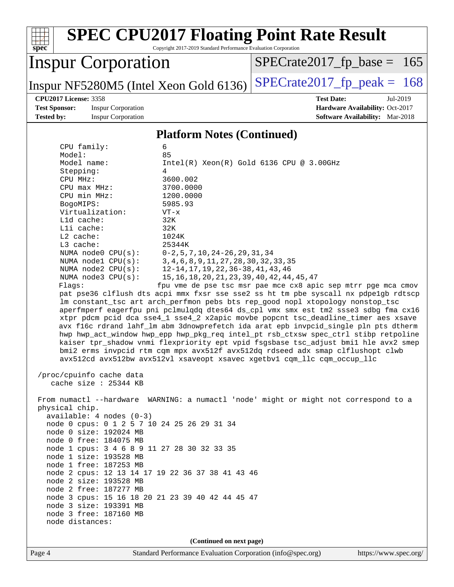| <b>SPEC CPU2017 Floating Point Rate Result</b><br>Copyright 2017-2019 Standard Performance Evaluation Corporation<br>$spec^*$                                            |                                                                                     |  |  |  |  |  |  |
|--------------------------------------------------------------------------------------------------------------------------------------------------------------------------|-------------------------------------------------------------------------------------|--|--|--|--|--|--|
| <b>Inspur Corporation</b>                                                                                                                                                | $SPECrate2017_fp\_base =$<br>165                                                    |  |  |  |  |  |  |
| Inspur NF5280M5 (Intel Xeon Gold 6136)                                                                                                                                   | $SPECrate2017fp peak = 168$                                                         |  |  |  |  |  |  |
| <b>CPU2017 License: 3358</b>                                                                                                                                             | <b>Test Date:</b><br>Jul-2019                                                       |  |  |  |  |  |  |
| <b>Test Sponsor:</b><br><b>Inspur Corporation</b><br><b>Inspur Corporation</b><br><b>Tested by:</b>                                                                      | Hardware Availability: Oct-2017<br>Software Availability: Mar-2018                  |  |  |  |  |  |  |
| <b>Platform Notes (Continued)</b>                                                                                                                                        |                                                                                     |  |  |  |  |  |  |
| CPU family:<br>6                                                                                                                                                         |                                                                                     |  |  |  |  |  |  |
| 85<br>Model:                                                                                                                                                             |                                                                                     |  |  |  |  |  |  |
| Model name:                                                                                                                                                              | $Intel(R) Xeon(R) Gold 6136 CPU @ 3.00GHz$                                          |  |  |  |  |  |  |
| Stepping:<br>4                                                                                                                                                           |                                                                                     |  |  |  |  |  |  |
| 3600.002<br>CPU MHz:                                                                                                                                                     |                                                                                     |  |  |  |  |  |  |
| 3700.0000<br>$CPU$ max $MHz:$                                                                                                                                            |                                                                                     |  |  |  |  |  |  |
| CPU min MHz:<br>1200.0000<br>5985.93<br>BogoMIPS:                                                                                                                        |                                                                                     |  |  |  |  |  |  |
| Virtualization:<br>$VT - x$                                                                                                                                              |                                                                                     |  |  |  |  |  |  |
| L1d cache:<br>32K                                                                                                                                                        |                                                                                     |  |  |  |  |  |  |
| Lli cache:<br>32K                                                                                                                                                        |                                                                                     |  |  |  |  |  |  |
| L2 cache:<br>1024K                                                                                                                                                       |                                                                                     |  |  |  |  |  |  |
| L3 cache:<br>25344K<br>NUMA node0 CPU(s):<br>$0-2, 5, 7, 10, 24-26, 29, 31, 34$                                                                                          |                                                                                     |  |  |  |  |  |  |
| 3, 4, 6, 8, 9, 11, 27, 28, 30, 32, 33, 35<br>NUMA nodel CPU(s):                                                                                                          |                                                                                     |  |  |  |  |  |  |
| NUMA $node2$ $CPU(s):$<br>12-14, 17, 19, 22, 36-38, 41, 43, 46                                                                                                           |                                                                                     |  |  |  |  |  |  |
| NUMA node3 CPU(s):<br>15, 16, 18, 20, 21, 23, 39, 40, 42, 44, 45, 47                                                                                                     |                                                                                     |  |  |  |  |  |  |
| Flagg:                                                                                                                                                                   | fpu vme de pse tsc msr pae mce cx8 apic sep mtrr pge mca cmov                       |  |  |  |  |  |  |
| pat pse36 clflush dts acpi mmx fxsr sse sse2 ss ht tm pbe syscall nx pdpelgb rdtscp<br>lm constant_tsc art arch_perfmon pebs bts rep_good nopl xtopology nonstop_tsc     |                                                                                     |  |  |  |  |  |  |
|                                                                                                                                                                          |                                                                                     |  |  |  |  |  |  |
| aperfmperf eagerfpu pni pclmulqdq dtes64 ds_cpl vmx smx est tm2 ssse3 sdbg fma cx16<br>xtpr pdcm pcid dca sse4_1 sse4_2 x2apic movbe popcnt tsc_deadline_timer aes xsave |                                                                                     |  |  |  |  |  |  |
| avx f16c rdrand lahf_lm abm 3dnowprefetch ida arat epb invpcid_single pln pts dtherm                                                                                     |                                                                                     |  |  |  |  |  |  |
| hwp hwp_act_window hwp_epp hwp_pkg_req intel_pt rsb_ctxsw spec_ctrl stibp retpoline                                                                                      |                                                                                     |  |  |  |  |  |  |
|                                                                                                                                                                          | kaiser tpr_shadow vnmi flexpriority ept vpid fsgsbase tsc_adjust bmil hle avx2 smep |  |  |  |  |  |  |
| bmi2 erms invpcid rtm cqm mpx avx512f avx512dq rdseed adx smap clflushopt clwb                                                                                           |                                                                                     |  |  |  |  |  |  |
| avx512cd avx512bw avx512vl xsaveopt xsavec xgetbvl cqm_llc cqm_occup_llc                                                                                                 |                                                                                     |  |  |  |  |  |  |
| /proc/cpuinfo cache data                                                                                                                                                 |                                                                                     |  |  |  |  |  |  |
| cache size : 25344 KB                                                                                                                                                    |                                                                                     |  |  |  |  |  |  |
| From numactl --hardware WARNING: a numactl 'node' might or might not correspond to a                                                                                     |                                                                                     |  |  |  |  |  |  |
| physical chip.                                                                                                                                                           |                                                                                     |  |  |  |  |  |  |
| $available: 4 nodes (0-3)$                                                                                                                                               |                                                                                     |  |  |  |  |  |  |
| node 0 cpus: 0 1 2 5 7 10 24 25 26 29 31 34                                                                                                                              |                                                                                     |  |  |  |  |  |  |
| node 0 size: 192024 MB<br>node 0 free: 184075 MB                                                                                                                         |                                                                                     |  |  |  |  |  |  |
| node 1 cpus: 3 4 6 8 9 11 27 28 30 32 33 35                                                                                                                              |                                                                                     |  |  |  |  |  |  |
| node 1 size: 193528 MB                                                                                                                                                   |                                                                                     |  |  |  |  |  |  |
| node 1 free: 187253 MB                                                                                                                                                   |                                                                                     |  |  |  |  |  |  |
| node 2 cpus: 12 13 14 17 19 22 36 37 38 41 43 46                                                                                                                         |                                                                                     |  |  |  |  |  |  |
| node 2 size: 193528 MB                                                                                                                                                   |                                                                                     |  |  |  |  |  |  |
| node 2 free: 187277 MB<br>node 3 cpus: 15 16 18 20 21 23 39 40 42 44 45 47                                                                                               |                                                                                     |  |  |  |  |  |  |
| node 3 size: 193391 MB                                                                                                                                                   |                                                                                     |  |  |  |  |  |  |
| node 3 free: 187160 MB                                                                                                                                                   |                                                                                     |  |  |  |  |  |  |
| node distances:                                                                                                                                                          |                                                                                     |  |  |  |  |  |  |
| (Continued on next page)                                                                                                                                                 |                                                                                     |  |  |  |  |  |  |
| Standard Performance Evaluation Corporation (info@spec.org)<br>Page 4                                                                                                    | https://www.spec.org/                                                               |  |  |  |  |  |  |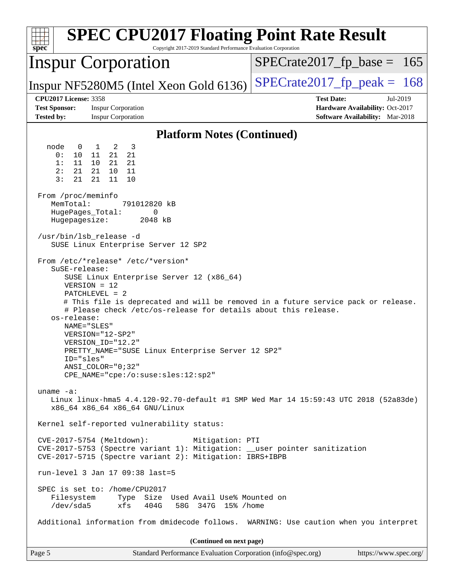| <b>SPEC CPU2017 Floating Point Rate Result</b><br>Copyright 2017-2019 Standard Performance Evaluation Corporation<br>$spec^*$                                                                                                                                                                                                                                                                                                                             |                                                                                                            |
|-----------------------------------------------------------------------------------------------------------------------------------------------------------------------------------------------------------------------------------------------------------------------------------------------------------------------------------------------------------------------------------------------------------------------------------------------------------|------------------------------------------------------------------------------------------------------------|
| Inspur Corporation                                                                                                                                                                                                                                                                                                                                                                                                                                        | $SPECTate2017_fp\_base = 165$                                                                              |
| Inspur NF5280M5 (Intel Xeon Gold 6136)                                                                                                                                                                                                                                                                                                                                                                                                                    | $SPECrate2017fp peak = 168$                                                                                |
| <b>CPU2017 License: 3358</b><br><b>Test Sponsor:</b><br><b>Inspur Corporation</b><br><b>Tested by:</b><br><b>Inspur Corporation</b>                                                                                                                                                                                                                                                                                                                       | <b>Test Date:</b><br>Jul-2019<br>Hardware Availability: Oct-2017<br><b>Software Availability:</b> Mar-2018 |
| <b>Platform Notes (Continued)</b>                                                                                                                                                                                                                                                                                                                                                                                                                         |                                                                                                            |
| node<br>2<br>3<br>$\overline{0}$<br>$\mathbf{1}$<br>0 :<br>21<br>21<br>10<br>11<br>21<br>11<br>10<br>21<br>1:<br>2:<br>21<br>21 10<br>11<br>3:<br>21<br>21<br>11<br>10<br>From /proc/meminfo<br>MemTotal:<br>791012820 kB<br>HugePages_Total:<br>0<br>Hugepagesize:<br>2048 kB<br>/usr/bin/lsb release -d<br>SUSE Linux Enterprise Server 12 SP2<br>From /etc/*release* /etc/*version*                                                                    |                                                                                                            |
| SuSE-release:<br>SUSE Linux Enterprise Server 12 (x86_64)<br>$VERSION = 12$<br>PATCHLEVEL = 2<br># This file is deprecated and will be removed in a future service pack or release.<br># Please check /etc/os-release for details about this release.<br>os-release:<br>NAME="SLES"<br>VERSION="12-SP2"<br>VERSION_ID="12.2"<br>PRETTY_NAME="SUSE Linux Enterprise Server 12 SP2"<br>ID="sles"<br>ANSI COLOR="0;32"<br>CPE_NAME="cpe:/o:suse:sles:12:sp2" |                                                                                                            |
| uname $-a$ :<br>Linux linux-hma5 4.4.120-92.70-default #1 SMP Wed Mar 14 15:59:43 UTC 2018 (52a83de)<br>x86_64 x86_64 x86_64 GNU/Linux<br>Kernel self-reported vulnerability status:<br>CVE-2017-5754 (Meltdown):<br>Mitigation: PTI<br>CVE-2017-5753 (Spectre variant 1): Mitigation: __user pointer sanitization<br>CVE-2017-5715 (Spectre variant 2): Mitigation: IBRS+IBPB<br>run-level 3 Jan 17 09:38 last=5                                         |                                                                                                            |
| SPEC is set to: /home/CPU2017<br>Type Size Used Avail Use% Mounted on<br>Filesystem<br>/dev/sda5<br>xfs<br>404G<br>58G 347G 15% / home<br>Additional information from dmidecode follows. WARNING: Use caution when you interpret                                                                                                                                                                                                                          |                                                                                                            |
| (Continued on next page)                                                                                                                                                                                                                                                                                                                                                                                                                                  |                                                                                                            |
| Page 5<br>Standard Performance Evaluation Corporation (info@spec.org)                                                                                                                                                                                                                                                                                                                                                                                     | https://www.spec.org/                                                                                      |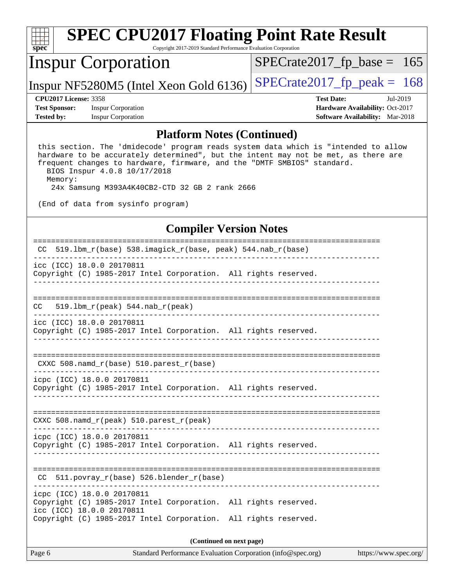| $spec^*$                  |                              | <b>SPEC CPU2017 Floating Point Rate Result</b><br>Copyright 2017-2019 Standard Performance Evaluation Corporation |                               |                                        |          |
|---------------------------|------------------------------|-------------------------------------------------------------------------------------------------------------------|-------------------------------|----------------------------------------|----------|
| <b>Inspur Corporation</b> |                              |                                                                                                                   | $SPECrate2017_fp\_base = 165$ |                                        |          |
|                           |                              | Inspur NF5280M5 (Intel Xeon Gold 6136)                                                                            | $SPECrate2017_fp\_peak = 168$ |                                        |          |
|                           | <b>CPU2017 License: 3358</b> |                                                                                                                   |                               | <b>Test Date:</b>                      | Jul-2019 |
| <b>Test Sponsor:</b>      |                              | <b>Inspur Corporation</b>                                                                                         |                               | Hardware Availability: Oct-2017        |          |
| <b>Tested by:</b>         |                              | <b>Inspur Corporation</b>                                                                                         |                               | <b>Software Availability:</b> Mar-2018 |          |
|                           |                              |                                                                                                                   |                               |                                        |          |

#### **[Platform Notes \(Continued\)](http://www.spec.org/auto/cpu2017/Docs/result-fields.html#PlatformNotes)**

 this section. The 'dmidecode' program reads system data which is "intended to allow hardware to be accurately determined", but the intent may not be met, as there are frequent changes to hardware, firmware, and the "DMTF SMBIOS" standard. BIOS Inspur 4.0.8 10/17/2018 Memory:

24x Samsung M393A4K40CB2-CTD 32 GB 2 rank 2666

(End of data from sysinfo program)

## **[Compiler Version Notes](http://www.spec.org/auto/cpu2017/Docs/result-fields.html#CompilerVersionNotes)**

| 519.1bm_r(base) 538.imagick_r(base, peak) 544.nab_r(base)<br>CC.                                                                                                                              |  |  |  |  |  |
|-----------------------------------------------------------------------------------------------------------------------------------------------------------------------------------------------|--|--|--|--|--|
| icc (ICC) 18.0.0 20170811<br>Copyright (C) 1985-2017 Intel Corporation. All rights reserved.                                                                                                  |  |  |  |  |  |
| -------------------------------------                                                                                                                                                         |  |  |  |  |  |
| CC.                                                                                                                                                                                           |  |  |  |  |  |
| icc (ICC) 18.0.0 20170811<br>Copyright (C) 1985-2017 Intel Corporation. All rights reserved.                                                                                                  |  |  |  |  |  |
| CXXC 508. namd $r(base)$ 510. parest $r(base)$                                                                                                                                                |  |  |  |  |  |
| icpc (ICC) 18.0.0 20170811<br>Copyright (C) 1985-2017 Intel Corporation. All rights reserved.                                                                                                 |  |  |  |  |  |
| CXXC 508. namd $r(\text{peak})$ 510. parest $r(\text{peak})$                                                                                                                                  |  |  |  |  |  |
| icpc (ICC) 18.0.0 20170811<br>Copyright (C) 1985-2017 Intel Corporation. All rights reserved.                                                                                                 |  |  |  |  |  |
| $CC$ 511.povray $r(base)$ 526.blender $r(base)$                                                                                                                                               |  |  |  |  |  |
| icpc (ICC) 18.0.0 20170811<br>Copyright (C) 1985-2017 Intel Corporation. All rights reserved.<br>icc (ICC) 18.0.0 20170811<br>Copyright (C) 1985-2017 Intel Corporation. All rights reserved. |  |  |  |  |  |
| (Continued on next page)                                                                                                                                                                      |  |  |  |  |  |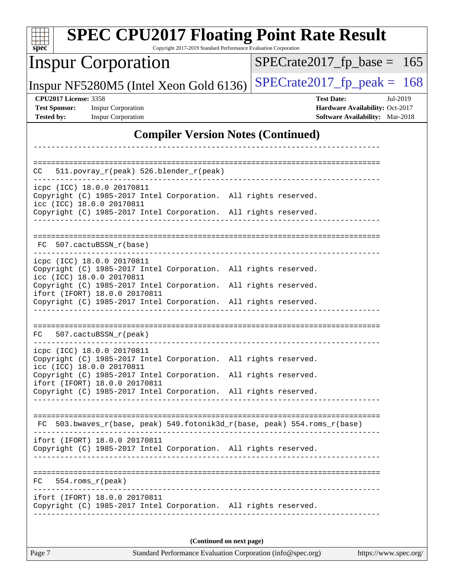| <b>SPEC CPU2017 Floating Point Rate Result</b><br>Copyright 2017-2019 Standard Performance Evaluation Corporation<br>$spec^*$ |                                                                  |  |  |  |  |  |  |
|-------------------------------------------------------------------------------------------------------------------------------|------------------------------------------------------------------|--|--|--|--|--|--|
| <b>Inspur Corporation</b>                                                                                                     | $SPECrate2017_fp\_base = 165$                                    |  |  |  |  |  |  |
| Inspur NF5280M5 (Intel Xeon Gold 6136)                                                                                        | $SPECrate2017_fp\_peak = 168$                                    |  |  |  |  |  |  |
| <b>CPU2017 License: 3358</b><br><b>Test Sponsor:</b><br><b>Inspur Corporation</b>                                             | <b>Test Date:</b><br>Jul-2019<br>Hardware Availability: Oct-2017 |  |  |  |  |  |  |
| <b>Tested by:</b><br><b>Inspur Corporation</b>                                                                                | Software Availability: Mar-2018                                  |  |  |  |  |  |  |
| <b>Compiler Version Notes (Continued)</b>                                                                                     |                                                                  |  |  |  |  |  |  |
|                                                                                                                               |                                                                  |  |  |  |  |  |  |
| 511.povray_r(peak) 526.blender_r(peak)<br>CC                                                                                  |                                                                  |  |  |  |  |  |  |
| icpc (ICC) 18.0.0 20170811<br>Copyright (C) 1985-2017 Intel Corporation. All rights reserved.                                 |                                                                  |  |  |  |  |  |  |
| icc (ICC) 18.0.0 20170811<br>Copyright (C) 1985-2017 Intel Corporation. All rights reserved.                                  |                                                                  |  |  |  |  |  |  |
| -------------------------------------                                                                                         |                                                                  |  |  |  |  |  |  |
| 507.cactuBSSN r(base)<br>FC.                                                                                                  |                                                                  |  |  |  |  |  |  |
| icpc (ICC) 18.0.0 20170811<br>Copyright (C) 1985-2017 Intel Corporation. All rights reserved.<br>icc (ICC) 18.0.0 20170811    |                                                                  |  |  |  |  |  |  |
| Copyright (C) 1985-2017 Intel Corporation.<br>ifort (IFORT) 18.0.0 20170811                                                   | All rights reserved.                                             |  |  |  |  |  |  |
| Copyright (C) 1985-2017 Intel Corporation. All rights reserved.                                                               |                                                                  |  |  |  |  |  |  |
|                                                                                                                               |                                                                  |  |  |  |  |  |  |
| FC.<br>507.cactuBSSN_r(peak)                                                                                                  |                                                                  |  |  |  |  |  |  |
| icpc (ICC) 18.0.0 20170811<br>Copyright (C) 1985-2017 Intel Corporation. All rights reserved.<br>icc (ICC) 18.0.0 20170811    |                                                                  |  |  |  |  |  |  |
| Copyright (C) 1985-2017 Intel Corporation. All rights reserved.<br>ifort (IFORT) 18.0.0 20170811                              |                                                                  |  |  |  |  |  |  |
| Copyright (C) 1985-2017 Intel Corporation. All rights reserved.                                                               |                                                                  |  |  |  |  |  |  |
|                                                                                                                               |                                                                  |  |  |  |  |  |  |
| FC 503.bwaves_r(base, peak) 549.fotonik3d_r(base, peak) 554.roms_r(base)                                                      |                                                                  |  |  |  |  |  |  |
| ifort (IFORT) 18.0.0 20170811<br>Copyright (C) 1985-2017 Intel Corporation. All rights reserved.                              |                                                                  |  |  |  |  |  |  |
| $FC 554.rows_r (peak)$                                                                                                        |                                                                  |  |  |  |  |  |  |
| __________________<br>ifort (IFORT) 18.0.0 20170811<br>Copyright (C) 1985-2017 Intel Corporation. All rights reserved.        |                                                                  |  |  |  |  |  |  |
|                                                                                                                               |                                                                  |  |  |  |  |  |  |
| (Continued on next page)<br>Standard Performance Evaluation Corporation (info@spec.org)                                       |                                                                  |  |  |  |  |  |  |
| Page 7                                                                                                                        | https://www.spec.org/                                            |  |  |  |  |  |  |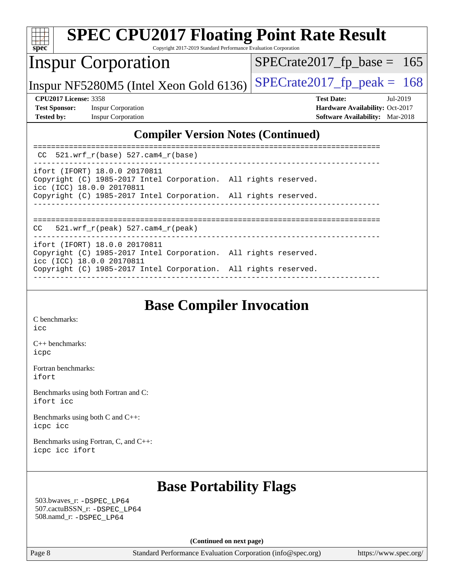| <b>SPEC CPU2017 Floating Point Rate Result</b><br>spec<br>Copyright 2017-2019 Standard Performance Evaluation Corporation           |                                                                                                              |
|-------------------------------------------------------------------------------------------------------------------------------------|--------------------------------------------------------------------------------------------------------------|
| <b>Inspur Corporation</b>                                                                                                           | $SPECrate2017_fp\_base = 165$                                                                                |
| Inspur NF5280M5 (Intel Xeon Gold 6136)                                                                                              | $SPECTate2017$ _fp_peak = 168                                                                                |
| <b>CPU2017 License: 3358</b><br><b>Test Sponsor:</b><br><b>Inspur Corporation</b><br><b>Tested by:</b><br><b>Inspur Corporation</b> | <b>Test Date:</b><br>$Jul-2019$<br>Hardware Availability: Oct-2017<br><b>Software Availability:</b> Mar-2018 |
| <b>Compiler Version Notes (Continued)</b>                                                                                           |                                                                                                              |
| $CC$ 521.wrf_r(base) 527.cam4_r(base)                                                                                               |                                                                                                              |
| ifort (IFORT) 18.0.0 20170811<br>Copyright (C) 1985-2017 Intel Corporation. All rights reserved.<br>icc (ICC) 18.0.0 20170811       |                                                                                                              |
| Copyright (C) 1985-2017 Intel Corporation. All rights reserved.                                                                     |                                                                                                              |
| $521.wrf_r(peak) 527.cam4_r(peak)$<br>CC.                                                                                           |                                                                                                              |
| ifort (IFORT) 18.0.0 20170811<br>Copyright (C) 1985-2017 Intel Corporation. All rights reserved.<br>icc (ICC) 18.0.0 20170811       |                                                                                                              |
| Copyright (C) 1985-2017 Intel Corporation. All rights reserved.                                                                     |                                                                                                              |

## **[Base Compiler Invocation](http://www.spec.org/auto/cpu2017/Docs/result-fields.html#BaseCompilerInvocation)**

------------------------------------------------------------------------------

[C benchmarks](http://www.spec.org/auto/cpu2017/Docs/result-fields.html#Cbenchmarks): [icc](http://www.spec.org/cpu2017/results/res2019q3/cpu2017-20190723-16413.flags.html#user_CCbase_intel_icc_18.0_66fc1ee009f7361af1fbd72ca7dcefbb700085f36577c54f309893dd4ec40d12360134090235512931783d35fd58c0460139e722d5067c5574d8eaf2b3e37e92)

[C++ benchmarks:](http://www.spec.org/auto/cpu2017/Docs/result-fields.html#CXXbenchmarks) [icpc](http://www.spec.org/cpu2017/results/res2019q3/cpu2017-20190723-16413.flags.html#user_CXXbase_intel_icpc_18.0_c510b6838c7f56d33e37e94d029a35b4a7bccf4766a728ee175e80a419847e808290a9b78be685c44ab727ea267ec2f070ec5dc83b407c0218cded6866a35d07)

[Fortran benchmarks](http://www.spec.org/auto/cpu2017/Docs/result-fields.html#Fortranbenchmarks): [ifort](http://www.spec.org/cpu2017/results/res2019q3/cpu2017-20190723-16413.flags.html#user_FCbase_intel_ifort_18.0_8111460550e3ca792625aed983ce982f94888b8b503583aa7ba2b8303487b4d8a21a13e7191a45c5fd58ff318f48f9492884d4413fa793fd88dd292cad7027ca)

[Benchmarks using both Fortran and C](http://www.spec.org/auto/cpu2017/Docs/result-fields.html#BenchmarksusingbothFortranandC): [ifort](http://www.spec.org/cpu2017/results/res2019q3/cpu2017-20190723-16413.flags.html#user_CC_FCbase_intel_ifort_18.0_8111460550e3ca792625aed983ce982f94888b8b503583aa7ba2b8303487b4d8a21a13e7191a45c5fd58ff318f48f9492884d4413fa793fd88dd292cad7027ca) [icc](http://www.spec.org/cpu2017/results/res2019q3/cpu2017-20190723-16413.flags.html#user_CC_FCbase_intel_icc_18.0_66fc1ee009f7361af1fbd72ca7dcefbb700085f36577c54f309893dd4ec40d12360134090235512931783d35fd58c0460139e722d5067c5574d8eaf2b3e37e92)

[Benchmarks using both C and C++](http://www.spec.org/auto/cpu2017/Docs/result-fields.html#BenchmarksusingbothCandCXX): [icpc](http://www.spec.org/cpu2017/results/res2019q3/cpu2017-20190723-16413.flags.html#user_CC_CXXbase_intel_icpc_18.0_c510b6838c7f56d33e37e94d029a35b4a7bccf4766a728ee175e80a419847e808290a9b78be685c44ab727ea267ec2f070ec5dc83b407c0218cded6866a35d07) [icc](http://www.spec.org/cpu2017/results/res2019q3/cpu2017-20190723-16413.flags.html#user_CC_CXXbase_intel_icc_18.0_66fc1ee009f7361af1fbd72ca7dcefbb700085f36577c54f309893dd4ec40d12360134090235512931783d35fd58c0460139e722d5067c5574d8eaf2b3e37e92)

[Benchmarks using Fortran, C, and C++:](http://www.spec.org/auto/cpu2017/Docs/result-fields.html#BenchmarksusingFortranCandCXX) [icpc](http://www.spec.org/cpu2017/results/res2019q3/cpu2017-20190723-16413.flags.html#user_CC_CXX_FCbase_intel_icpc_18.0_c510b6838c7f56d33e37e94d029a35b4a7bccf4766a728ee175e80a419847e808290a9b78be685c44ab727ea267ec2f070ec5dc83b407c0218cded6866a35d07) [icc](http://www.spec.org/cpu2017/results/res2019q3/cpu2017-20190723-16413.flags.html#user_CC_CXX_FCbase_intel_icc_18.0_66fc1ee009f7361af1fbd72ca7dcefbb700085f36577c54f309893dd4ec40d12360134090235512931783d35fd58c0460139e722d5067c5574d8eaf2b3e37e92) [ifort](http://www.spec.org/cpu2017/results/res2019q3/cpu2017-20190723-16413.flags.html#user_CC_CXX_FCbase_intel_ifort_18.0_8111460550e3ca792625aed983ce982f94888b8b503583aa7ba2b8303487b4d8a21a13e7191a45c5fd58ff318f48f9492884d4413fa793fd88dd292cad7027ca)

## **[Base Portability Flags](http://www.spec.org/auto/cpu2017/Docs/result-fields.html#BasePortabilityFlags)**

 503.bwaves\_r: [-DSPEC\\_LP64](http://www.spec.org/cpu2017/results/res2019q3/cpu2017-20190723-16413.flags.html#suite_basePORTABILITY503_bwaves_r_DSPEC_LP64) 507.cactuBSSN\_r: [-DSPEC\\_LP64](http://www.spec.org/cpu2017/results/res2019q3/cpu2017-20190723-16413.flags.html#suite_basePORTABILITY507_cactuBSSN_r_DSPEC_LP64) 508.namd\_r: [-DSPEC\\_LP64](http://www.spec.org/cpu2017/results/res2019q3/cpu2017-20190723-16413.flags.html#suite_basePORTABILITY508_namd_r_DSPEC_LP64)

**(Continued on next page)**

Page 8 Standard Performance Evaluation Corporation [\(info@spec.org\)](mailto:info@spec.org) <https://www.spec.org/>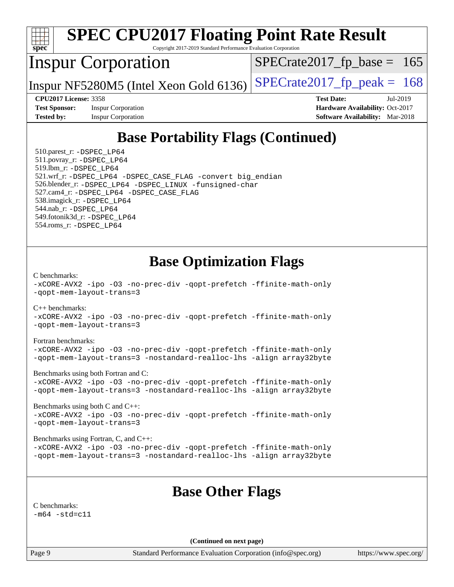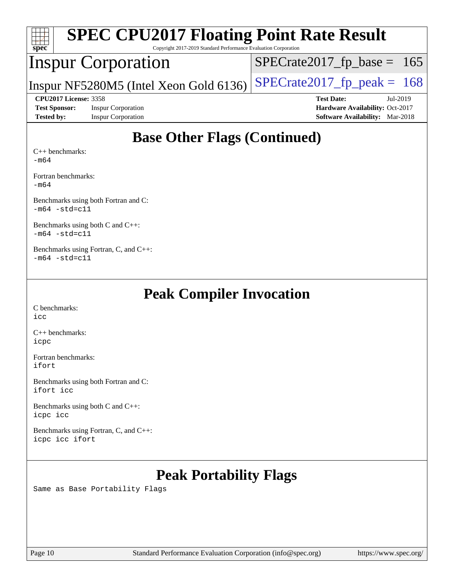| <b>SPEC CPU2017 Floating Point Rate Result</b><br>$Spec^*$<br>Copyright 2017-2019 Standard Performance Evaluation Corporation |                                        |  |  |  |  |  |  |
|-------------------------------------------------------------------------------------------------------------------------------|----------------------------------------|--|--|--|--|--|--|
| <b>Inspur Corporation</b>                                                                                                     | $SPECrate2017_fp\_base = 165$          |  |  |  |  |  |  |
| Inspur NF5280M5 (Intel Xeon Gold 6136)                                                                                        | $SPECrate2017fp peak = 168$            |  |  |  |  |  |  |
| <b>CPU2017 License: 3358</b>                                                                                                  | <b>Test Date:</b><br>Jul-2019          |  |  |  |  |  |  |
|                                                                                                                               | <b>Hardware Availability: Oct-2017</b> |  |  |  |  |  |  |
| <b>Test Sponsor:</b><br><b>Inspur Corporation</b>                                                                             |                                        |  |  |  |  |  |  |
| <b>Inspur Corporation</b><br><b>Tested by:</b>                                                                                | <b>Software Availability:</b> Mar-2018 |  |  |  |  |  |  |

[Fortran benchmarks](http://www.spec.org/auto/cpu2017/Docs/result-fields.html#Fortranbenchmarks):

[-m64](http://www.spec.org/cpu2017/results/res2019q3/cpu2017-20190723-16413.flags.html#user_FCbase_intel_intel64_18.0_af43caccfc8ded86e7699f2159af6efc7655f51387b94da716254467f3c01020a5059329e2569e4053f409e7c9202a7efc638f7a6d1ffb3f52dea4a3e31d82ab)

[Benchmarks using both Fortran and C](http://www.spec.org/auto/cpu2017/Docs/result-fields.html#BenchmarksusingbothFortranandC):  $-m64 - std= c11$  $-m64 - std= c11$ 

[Benchmarks using both C and C++](http://www.spec.org/auto/cpu2017/Docs/result-fields.html#BenchmarksusingbothCandCXX): [-m64](http://www.spec.org/cpu2017/results/res2019q3/cpu2017-20190723-16413.flags.html#user_CC_CXXbase_intel_intel64_18.0_af43caccfc8ded86e7699f2159af6efc7655f51387b94da716254467f3c01020a5059329e2569e4053f409e7c9202a7efc638f7a6d1ffb3f52dea4a3e31d82ab) [-std=c11](http://www.spec.org/cpu2017/results/res2019q3/cpu2017-20190723-16413.flags.html#user_CC_CXXbase_intel_compiler_c11_mode_0e1c27790398a4642dfca32ffe6c27b5796f9c2d2676156f2e42c9c44eaad0c049b1cdb667a270c34d979996257aeb8fc440bfb01818dbc9357bd9d174cb8524)

[Benchmarks using Fortran, C, and C++:](http://www.spec.org/auto/cpu2017/Docs/result-fields.html#BenchmarksusingFortranCandCXX)  $-m64$   $-std=cl1$ 

## **[Peak Compiler Invocation](http://www.spec.org/auto/cpu2017/Docs/result-fields.html#PeakCompilerInvocation)**

[C benchmarks](http://www.spec.org/auto/cpu2017/Docs/result-fields.html#Cbenchmarks): [icc](http://www.spec.org/cpu2017/results/res2019q3/cpu2017-20190723-16413.flags.html#user_CCpeak_intel_icc_18.0_66fc1ee009f7361af1fbd72ca7dcefbb700085f36577c54f309893dd4ec40d12360134090235512931783d35fd58c0460139e722d5067c5574d8eaf2b3e37e92)

[C++ benchmarks:](http://www.spec.org/auto/cpu2017/Docs/result-fields.html#CXXbenchmarks) [icpc](http://www.spec.org/cpu2017/results/res2019q3/cpu2017-20190723-16413.flags.html#user_CXXpeak_intel_icpc_18.0_c510b6838c7f56d33e37e94d029a35b4a7bccf4766a728ee175e80a419847e808290a9b78be685c44ab727ea267ec2f070ec5dc83b407c0218cded6866a35d07)

[Fortran benchmarks](http://www.spec.org/auto/cpu2017/Docs/result-fields.html#Fortranbenchmarks): [ifort](http://www.spec.org/cpu2017/results/res2019q3/cpu2017-20190723-16413.flags.html#user_FCpeak_intel_ifort_18.0_8111460550e3ca792625aed983ce982f94888b8b503583aa7ba2b8303487b4d8a21a13e7191a45c5fd58ff318f48f9492884d4413fa793fd88dd292cad7027ca)

[Benchmarks using both Fortran and C](http://www.spec.org/auto/cpu2017/Docs/result-fields.html#BenchmarksusingbothFortranandC): [ifort](http://www.spec.org/cpu2017/results/res2019q3/cpu2017-20190723-16413.flags.html#user_CC_FCpeak_intel_ifort_18.0_8111460550e3ca792625aed983ce982f94888b8b503583aa7ba2b8303487b4d8a21a13e7191a45c5fd58ff318f48f9492884d4413fa793fd88dd292cad7027ca) [icc](http://www.spec.org/cpu2017/results/res2019q3/cpu2017-20190723-16413.flags.html#user_CC_FCpeak_intel_icc_18.0_66fc1ee009f7361af1fbd72ca7dcefbb700085f36577c54f309893dd4ec40d12360134090235512931783d35fd58c0460139e722d5067c5574d8eaf2b3e37e92)

[Benchmarks using both C and C++](http://www.spec.org/auto/cpu2017/Docs/result-fields.html#BenchmarksusingbothCandCXX): [icpc](http://www.spec.org/cpu2017/results/res2019q3/cpu2017-20190723-16413.flags.html#user_CC_CXXpeak_intel_icpc_18.0_c510b6838c7f56d33e37e94d029a35b4a7bccf4766a728ee175e80a419847e808290a9b78be685c44ab727ea267ec2f070ec5dc83b407c0218cded6866a35d07) [icc](http://www.spec.org/cpu2017/results/res2019q3/cpu2017-20190723-16413.flags.html#user_CC_CXXpeak_intel_icc_18.0_66fc1ee009f7361af1fbd72ca7dcefbb700085f36577c54f309893dd4ec40d12360134090235512931783d35fd58c0460139e722d5067c5574d8eaf2b3e37e92)

[Benchmarks using Fortran, C, and C++:](http://www.spec.org/auto/cpu2017/Docs/result-fields.html#BenchmarksusingFortranCandCXX) [icpc](http://www.spec.org/cpu2017/results/res2019q3/cpu2017-20190723-16413.flags.html#user_CC_CXX_FCpeak_intel_icpc_18.0_c510b6838c7f56d33e37e94d029a35b4a7bccf4766a728ee175e80a419847e808290a9b78be685c44ab727ea267ec2f070ec5dc83b407c0218cded6866a35d07) [icc](http://www.spec.org/cpu2017/results/res2019q3/cpu2017-20190723-16413.flags.html#user_CC_CXX_FCpeak_intel_icc_18.0_66fc1ee009f7361af1fbd72ca7dcefbb700085f36577c54f309893dd4ec40d12360134090235512931783d35fd58c0460139e722d5067c5574d8eaf2b3e37e92) [ifort](http://www.spec.org/cpu2017/results/res2019q3/cpu2017-20190723-16413.flags.html#user_CC_CXX_FCpeak_intel_ifort_18.0_8111460550e3ca792625aed983ce982f94888b8b503583aa7ba2b8303487b4d8a21a13e7191a45c5fd58ff318f48f9492884d4413fa793fd88dd292cad7027ca)

# **[Peak Portability Flags](http://www.spec.org/auto/cpu2017/Docs/result-fields.html#PeakPortabilityFlags)**

Same as Base Portability Flags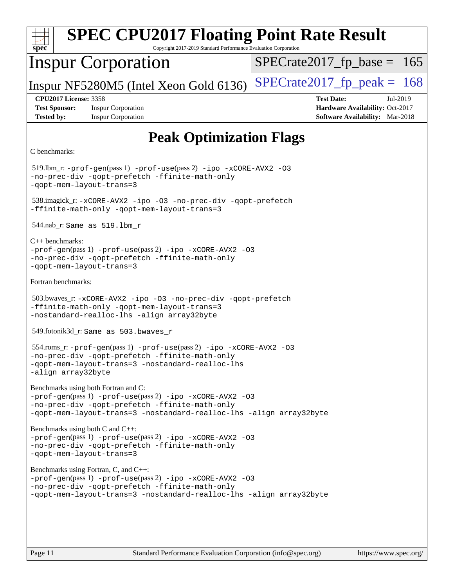| <b>SPEC CPU2017 Floating Point Rate Result</b><br>$spec^*$<br>Copyright 2017-2019 Standard Performance Evaluation Corporation                                                                                              |                                                                                                            |  |  |  |  |  |
|----------------------------------------------------------------------------------------------------------------------------------------------------------------------------------------------------------------------------|------------------------------------------------------------------------------------------------------------|--|--|--|--|--|
| <b>Inspur Corporation</b>                                                                                                                                                                                                  | $SPECrate2017_fp\_base = 165$                                                                              |  |  |  |  |  |
| Inspur NF5280M5 (Intel Xeon Gold 6136)                                                                                                                                                                                     | $SPECrate2017_fp\_peak = 168$                                                                              |  |  |  |  |  |
| <b>CPU2017 License: 3358</b><br><b>Test Sponsor:</b><br><b>Inspur Corporation</b><br><b>Tested by:</b><br><b>Inspur Corporation</b>                                                                                        | <b>Test Date:</b><br>Jul-2019<br>Hardware Availability: Oct-2017<br><b>Software Availability:</b> Mar-2018 |  |  |  |  |  |
| <b>Peak Optimization Flags</b>                                                                                                                                                                                             |                                                                                                            |  |  |  |  |  |
| C benchmarks:                                                                                                                                                                                                              |                                                                                                            |  |  |  |  |  |
| 519.lbm_r: -prof-gen(pass 1) -prof-use(pass 2) -ipo -xCORE-AVX2 -03<br>-no-prec-div -qopt-prefetch -ffinite-math-only<br>-gopt-mem-layout-trans=3                                                                          |                                                                                                            |  |  |  |  |  |
| 538.imagick_r: -xCORE-AVX2 -ipo -03 -no-prec-div -qopt-prefetch<br>-ffinite-math-only -qopt-mem-layout-trans=3                                                                                                             |                                                                                                            |  |  |  |  |  |
| $544.nab_r$ : Same as $519.lbm_r$                                                                                                                                                                                          |                                                                                                            |  |  |  |  |  |
| $C_{++}$ benchmarks:<br>$-prof-gen(pass 1) -prof-use(pass 2) -ipo -xCORE-AVX2 -O3$<br>-no-prec-div -qopt-prefetch -ffinite-math-only<br>-qopt-mem-layout-trans=3                                                           |                                                                                                            |  |  |  |  |  |
| Fortran benchmarks:                                                                                                                                                                                                        |                                                                                                            |  |  |  |  |  |
| 503.bwaves_r: -xCORE-AVX2 -ipo -03 -no-prec-div -qopt-prefetch<br>-ffinite-math-only -qopt-mem-layout-trans=3<br>-nostandard-realloc-lhs -align array32byte                                                                |                                                                                                            |  |  |  |  |  |
| 549.fotonik3d_r: Same as 503.bwaves_r                                                                                                                                                                                      |                                                                                                            |  |  |  |  |  |
| 554.roms_r: -prof-gen(pass 1) -prof-use(pass 2) -ipo -xCORE-AVX2 -03<br>no-prec-div -qopt-prefetch -ffinite-math-only<br>-qopt-mem-layout-trans=3 -nostandard-realloc-lhs<br>-align array32byte                            |                                                                                                            |  |  |  |  |  |
| Benchmarks using both Fortran and C:<br>-prof-gen(pass 1) -prof-use(pass 2) -ipo -xCORE-AVX2 -03<br>-no-prec-div -qopt-prefetch -ffinite-math-only<br>-qopt-mem-layout-trans=3 -nostandard-realloc-lhs -align array32byte  |                                                                                                            |  |  |  |  |  |
| Benchmarks using both C and C++:<br>-prof-gen(pass 1) -prof-use(pass 2) -ipo -xCORE-AVX2 -03<br>-no-prec-div -qopt-prefetch -ffinite-math-only<br>-qopt-mem-layout-trans=3                                                 |                                                                                                            |  |  |  |  |  |
| Benchmarks using Fortran, C, and C++:<br>-prof-gen(pass 1) -prof-use(pass 2) -ipo -xCORE-AVX2 -03<br>-no-prec-div -qopt-prefetch -ffinite-math-only<br>-qopt-mem-layout-trans=3 -nostandard-realloc-lhs -align array32byte |                                                                                                            |  |  |  |  |  |
|                                                                                                                                                                                                                            |                                                                                                            |  |  |  |  |  |